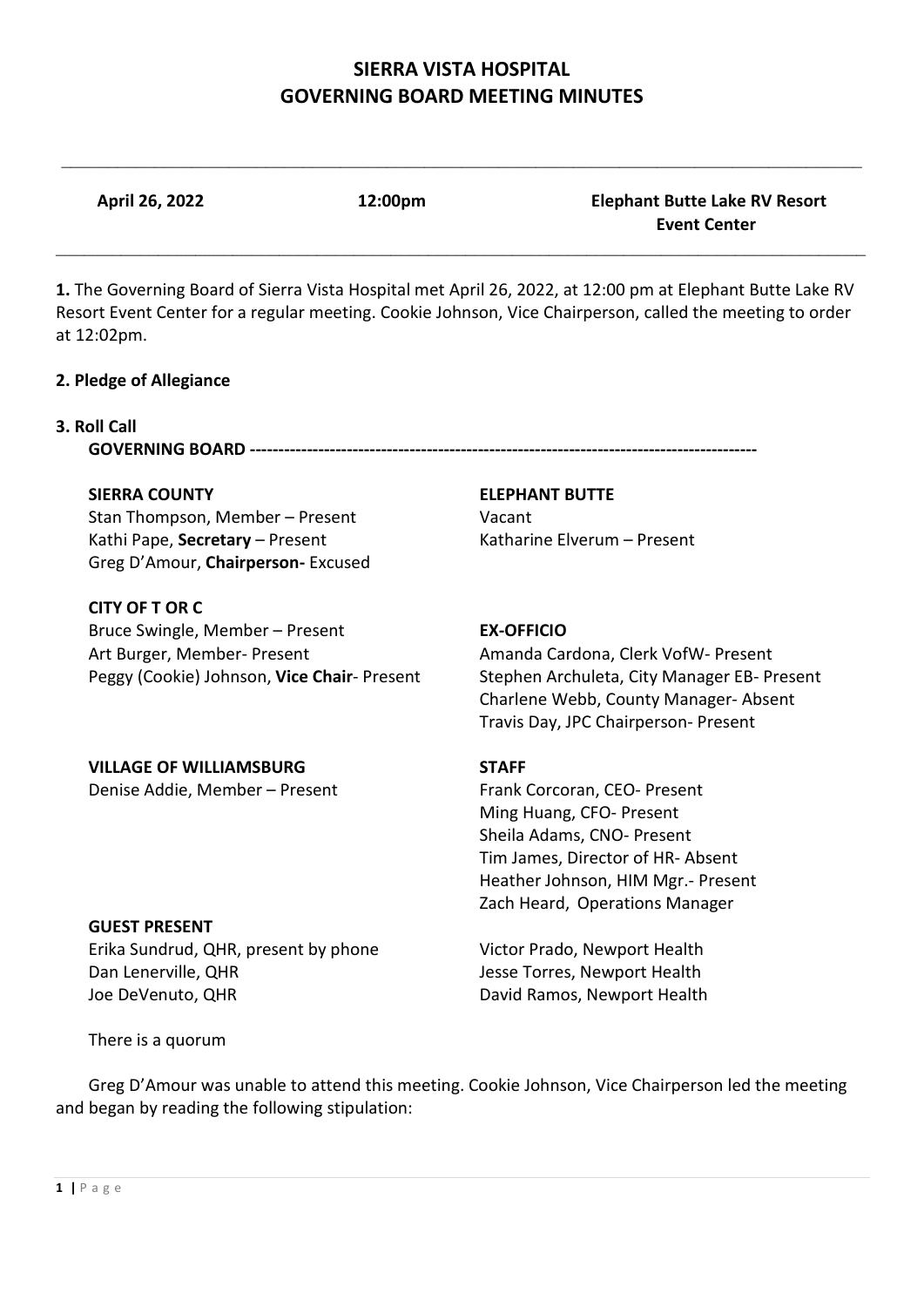$\mathcal{L}_\mathcal{L} = \{ \mathcal{L}_\mathcal{L} = \{ \mathcal{L}_\mathcal{L} = \{ \mathcal{L}_\mathcal{L} = \{ \mathcal{L}_\mathcal{L} = \{ \mathcal{L}_\mathcal{L} = \{ \mathcal{L}_\mathcal{L} = \{ \mathcal{L}_\mathcal{L} = \{ \mathcal{L}_\mathcal{L} = \{ \mathcal{L}_\mathcal{L} = \{ \mathcal{L}_\mathcal{L} = \{ \mathcal{L}_\mathcal{L} = \{ \mathcal{L}_\mathcal{L} = \{ \mathcal{L}_\mathcal{L} = \{ \mathcal{L}_\mathcal{$ 

**April 26, 2022 12:00pm Elephant Butte Lake RV Resort** 

\_\_\_\_\_\_\_\_\_\_\_\_\_\_\_\_\_\_\_\_\_\_\_\_\_\_\_\_\_\_\_\_\_\_\_\_\_\_\_\_\_\_\_\_\_\_\_\_\_\_\_\_\_\_\_\_\_\_\_\_\_\_\_\_\_\_\_\_\_\_\_\_\_\_\_\_\_\_\_\_\_\_\_\_\_\_\_ **1.** The Governing Board of Sierra Vista Hospital met April 26, 2022, at 12:00 pm at Elephant Butte Lake RV Resort Event Center for a regular meeting. Cookie Johnson, Vice Chairperson, called the meeting to order at 12:02pm. **2. Pledge of Allegiance 3. Roll Call GOVERNING BOARD ----------------------------------------------------------------------------------------- SIERRA COUNTY ELEPHANT BUTTE**

Stan Thompson, Member – Present Vacant Kathi Pape, **Secretary** – Present Katharine Elverum – Present Greg D'Amour, **Chairperson-** Excused

**CITY OF T OR C** Bruce Swingle, Member – Present **EX-OFFICIO** Art Burger, Member- Present Amanda Cardona, Clerk VofW- Present

**VILLAGE OF WILLIAMSBURG STAFF**

Peggy (Cookie) Johnson, **Vice Chair**- Present Stephen Archuleta, City Manager EB- Present Charlene Webb, County Manager- Absent Travis Day, JPC Chairperson- Present

 **Event Center**

Denise Addie, Member – Present Frank Corcoran, CEO- Present Ming Huang, CFO- Present Sheila Adams, CNO- Present Tim James, Director of HR- Absent Heather Johnson, HIM Mgr.- Present Zach Heard, Operations Manager

Erika Sundrud, QHR, present by phone Victor Prado, Newport Health Dan Lenerville, QHR Jesse Torres, Newport Health Joe DeVenuto, QHR David Ramos, Newport Health

There is a quorum

**GUEST PRESENT**

Greg D'Amour was unable to attend this meeting. Cookie Johnson, Vice Chairperson led the meeting and began by reading the following stipulation: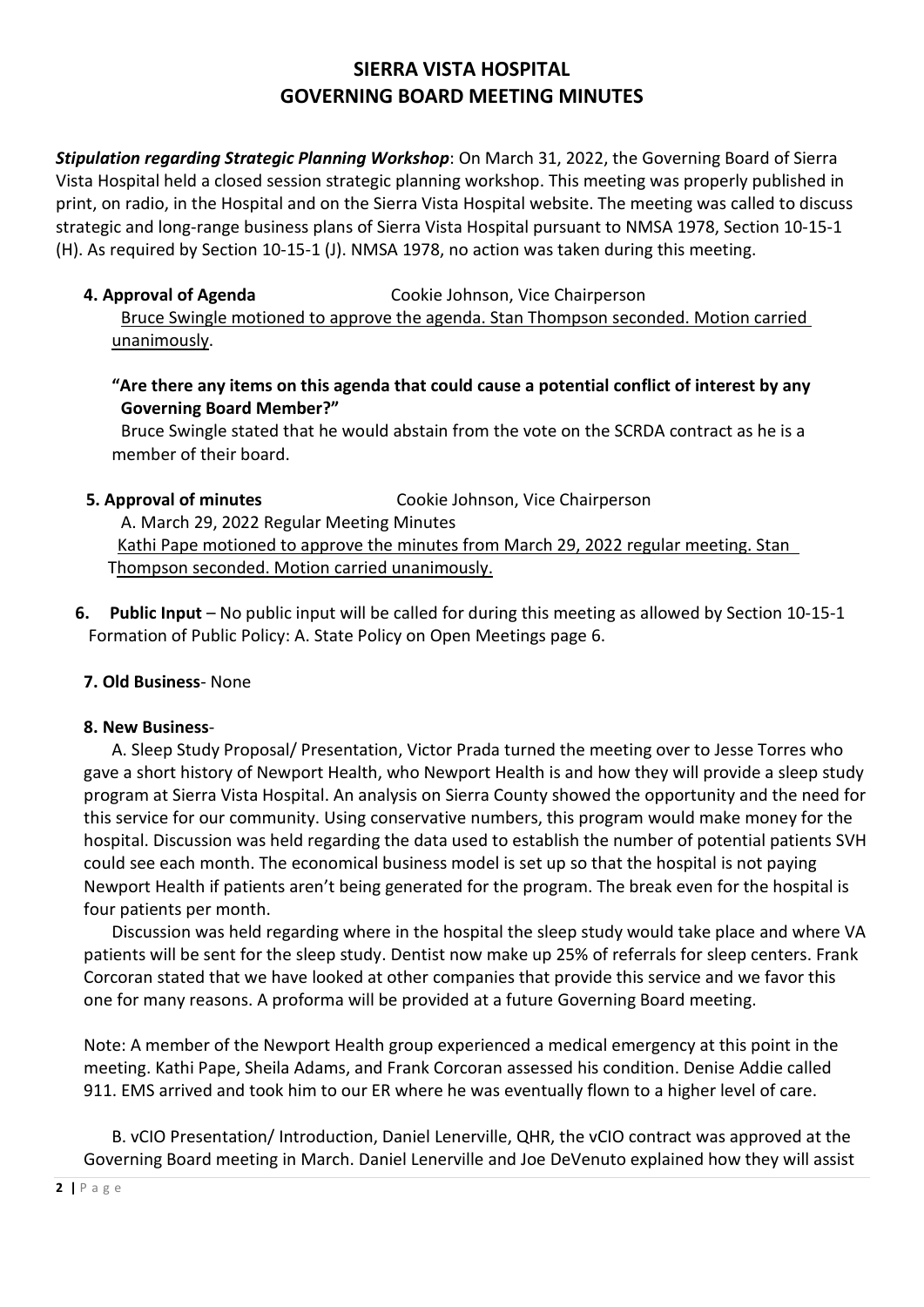*Stipulation regarding Strategic Planning Workshop*: On March 31, 2022, the Governing Board of Sierra Vista Hospital held a closed session strategic planning workshop. This meeting was properly published in print, on radio, in the Hospital and on the Sierra Vista Hospital website. The meeting was called to discuss strategic and long-range business plans of Sierra Vista Hospital pursuant to NMSA 1978, Section 10-15-1 (H). As required by Section 10-15-1 (J). NMSA 1978, no action was taken during this meeting.

**4. Approval of Agenda** Cookie Johnson, Vice Chairperson

Bruce Swingle motioned to approve the agenda. Stan Thompson seconded. Motion carried unanimously.

**"Are there any items on this agenda that could cause a potential conflict of interest by any Governing Board Member?"**

Bruce Swingle stated that he would abstain from the vote on the SCRDA contract as he is a member of their board.

**5. Approval of minutes Cookie Johnson, Vice Chairperson** 

 A. March 29, 2022 Regular Meeting Minutes Kathi Pape motioned to approve the minutes from March 29, 2022 regular meeting. Stan Thompson seconded. Motion carried unanimously.

 **6. Public Input** – No public input will be called for during this meeting as allowed by Section 10-15-1 Formation of Public Policy: A. State Policy on Open Meetings page 6.

## **7. Old Business**- None

## **8. New Business**-

A. Sleep Study Proposal/ Presentation, Victor Prada turned the meeting over to Jesse Torres who gave a short history of Newport Health, who Newport Health is and how they will provide a sleep study program at Sierra Vista Hospital. An analysis on Sierra County showed the opportunity and the need for this service for our community. Using conservative numbers, this program would make money for the hospital. Discussion was held regarding the data used to establish the number of potential patients SVH could see each month. The economical business model is set up so that the hospital is not paying Newport Health if patients aren't being generated for the program. The break even for the hospital is four patients per month.

Discussion was held regarding where in the hospital the sleep study would take place and where VA patients will be sent for the sleep study. Dentist now make up 25% of referrals for sleep centers. Frank Corcoran stated that we have looked at other companies that provide this service and we favor this one for many reasons. A proforma will be provided at a future Governing Board meeting.

Note: A member of the Newport Health group experienced a medical emergency at this point in the meeting. Kathi Pape, Sheila Adams, and Frank Corcoran assessed his condition. Denise Addie called 911. EMS arrived and took him to our ER where he was eventually flown to a higher level of care.

B. vCIO Presentation/ Introduction, Daniel Lenerville, QHR, the vCIO contract was approved at the Governing Board meeting in March. Daniel Lenerville and Joe DeVenuto explained how they will assist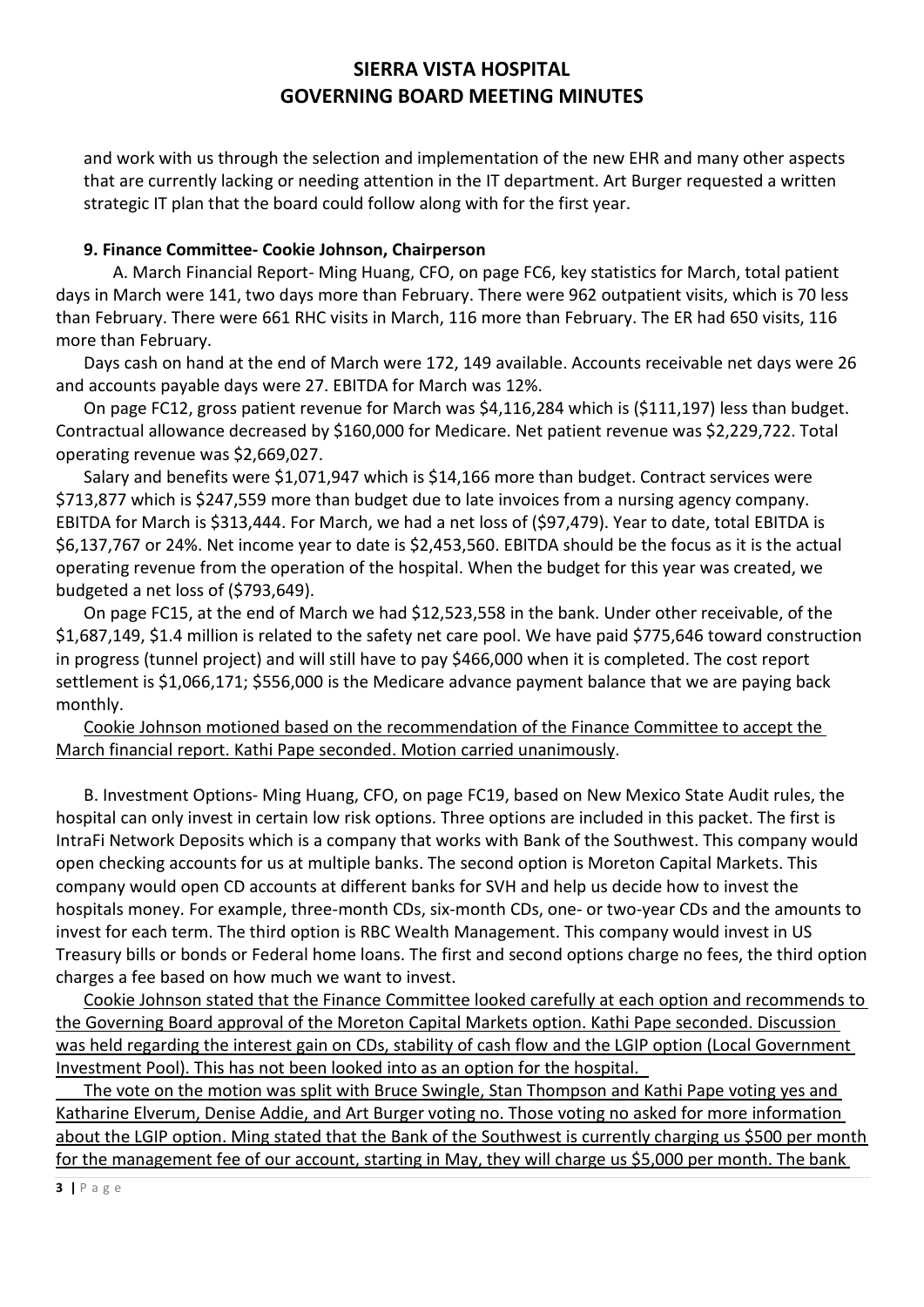and work with us through the selection and implementation of the new EHR and many other aspects that are currently lacking or needing attention in the IT department. Art Burger requested a written strategic IT plan that the board could follow along with for the first year.

## **9. Finance Committee- Cookie Johnson, Chairperson**

 A. March Financial Report- Ming Huang, CFO, on page FC6, key statistics for March, total patient days in March were 141, two days more than February. There were 962 outpatient visits, which is 70 less than February. There were 661 RHC visits in March, 116 more than February. The ER had 650 visits, 116 more than February.

Days cash on hand at the end of March were 172, 149 available. Accounts receivable net days were 26 and accounts payable days were 27. EBITDA for March was 12%.

On page FC12, gross patient revenue for March was \$4,116,284 which is (\$111,197) less than budget. Contractual allowance decreased by \$160,000 for Medicare. Net patient revenue was \$2,229,722. Total operating revenue was \$2,669,027.

Salary and benefits were \$1,071,947 which is \$14,166 more than budget. Contract services were \$713,877 which is \$247,559 more than budget due to late invoices from a nursing agency company. EBITDA for March is \$313,444. For March, we had a net loss of (\$97,479). Year to date, total EBITDA is \$6,137,767 or 24%. Net income year to date is \$2,453,560. EBITDA should be the focus as it is the actual operating revenue from the operation of the hospital. When the budget for this year was created, we budgeted a net loss of (\$793,649).

On page FC15, at the end of March we had \$12,523,558 in the bank. Under other receivable, of the \$1,687,149, \$1.4 million is related to the safety net care pool. We have paid \$775,646 toward construction in progress (tunnel project) and will still have to pay \$466,000 when it is completed. The cost report settlement is \$1,066,171; \$556,000 is the Medicare advance payment balance that we are paying back monthly.

## Cookie Johnson motioned based on the recommendation of the Finance Committee to accept the March financial report. Kathi Pape seconded. Motion carried unanimously.

B. Investment Options- Ming Huang, CFO, on page FC19, based on New Mexico State Audit rules, the hospital can only invest in certain low risk options. Three options are included in this packet. The first is IntraFi Network Deposits which is a company that works with Bank of the Southwest. This company would open checking accounts for us at multiple banks. The second option is Moreton Capital Markets. This company would open CD accounts at different banks for SVH and help us decide how to invest the hospitals money. For example, three-month CDs, six-month CDs, one- or two-year CDs and the amounts to invest for each term. The third option is RBC Wealth Management. This company would invest in US Treasury bills or bonds or Federal home loans. The first and second options charge no fees, the third option charges a fee based on how much we want to invest.

Cookie Johnson stated that the Finance Committee looked carefully at each option and recommends to the Governing Board approval of the Moreton Capital Markets option. Kathi Pape seconded. Discussion was held regarding the interest gain on CDs, stability of cash flow and the LGIP option (Local Government Investment Pool). This has not been looked into as an option for the hospital.

The vote on the motion was split with Bruce Swingle, Stan Thompson and Kathi Pape voting yes and Katharine Elverum, Denise Addie, and Art Burger voting no. Those voting no asked for more information about the LGIP option. Ming stated that the Bank of the Southwest is currently charging us \$500 per month for the management fee of our account, starting in May, they will charge us \$5,000 per month. The bank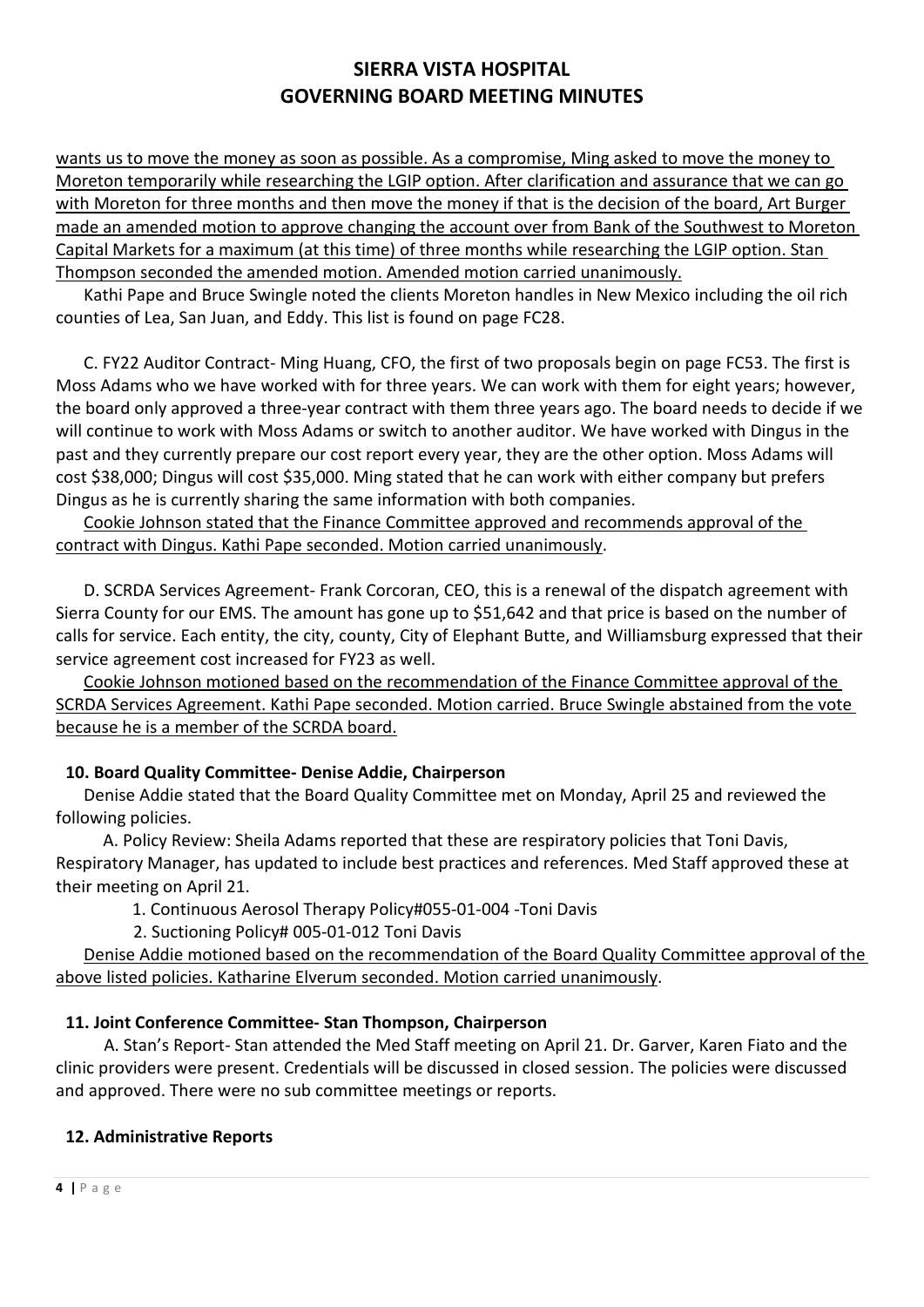wants us to move the money as soon as possible. As a compromise, Ming asked to move the money to Moreton temporarily while researching the LGIP option. After clarification and assurance that we can go with Moreton for three months and then move the money if that is the decision of the board, Art Burger made an amended motion to approve changing the account over from Bank of the Southwest to Moreton Capital Markets for a maximum (at this time) of three months while researching the LGIP option. Stan Thompson seconded the amended motion. Amended motion carried unanimously.

Kathi Pape and Bruce Swingle noted the clients Moreton handles in New Mexico including the oil rich counties of Lea, San Juan, and Eddy. This list is found on page FC28.

C. FY22 Auditor Contract- Ming Huang, CFO, the first of two proposals begin on page FC53. The first is Moss Adams who we have worked with for three years. We can work with them for eight years; however, the board only approved a three-year contract with them three years ago. The board needs to decide if we will continue to work with Moss Adams or switch to another auditor. We have worked with Dingus in the past and they currently prepare our cost report every year, they are the other option. Moss Adams will cost \$38,000; Dingus will cost \$35,000. Ming stated that he can work with either company but prefers Dingus as he is currently sharing the same information with both companies.

Cookie Johnson stated that the Finance Committee approved and recommends approval of the contract with Dingus. Kathi Pape seconded. Motion carried unanimously.

D. SCRDA Services Agreement- Frank Corcoran, CEO, this is a renewal of the dispatch agreement with Sierra County for our EMS. The amount has gone up to \$51,642 and that price is based on the number of calls for service. Each entity, the city, county, City of Elephant Butte, and Williamsburg expressed that their service agreement cost increased for FY23 as well.

Cookie Johnson motioned based on the recommendation of the Finance Committee approval of the SCRDA Services Agreement. Kathi Pape seconded. Motion carried. Bruce Swingle abstained from the vote because he is a member of the SCRDA board.

## **10. Board Quality Committee- Denise Addie, Chairperson**

Denise Addie stated that the Board Quality Committee met on Monday, April 25 and reviewed the following policies.

 A. Policy Review: Sheila Adams reported that these are respiratory policies that Toni Davis, Respiratory Manager, has updated to include best practices and references. Med Staff approved these at their meeting on April 21.

- 1. Continuous Aerosol Therapy Policy#055-01-004 -Toni Davis
- 2. Suctioning Policy# 005-01-012 Toni Davis

Denise Addie motioned based on the recommendation of the Board Quality Committee approval of the above listed policies. Katharine Elverum seconded. Motion carried unanimously.

## **11. Joint Conference Committee- Stan Thompson, Chairperson**

A. Stan's Report- Stan attended the Med Staff meeting on April 21. Dr. Garver, Karen Fiato and the clinic providers were present. Credentials will be discussed in closed session. The policies were discussed and approved. There were no sub committee meetings or reports.

## **12. Administrative Reports**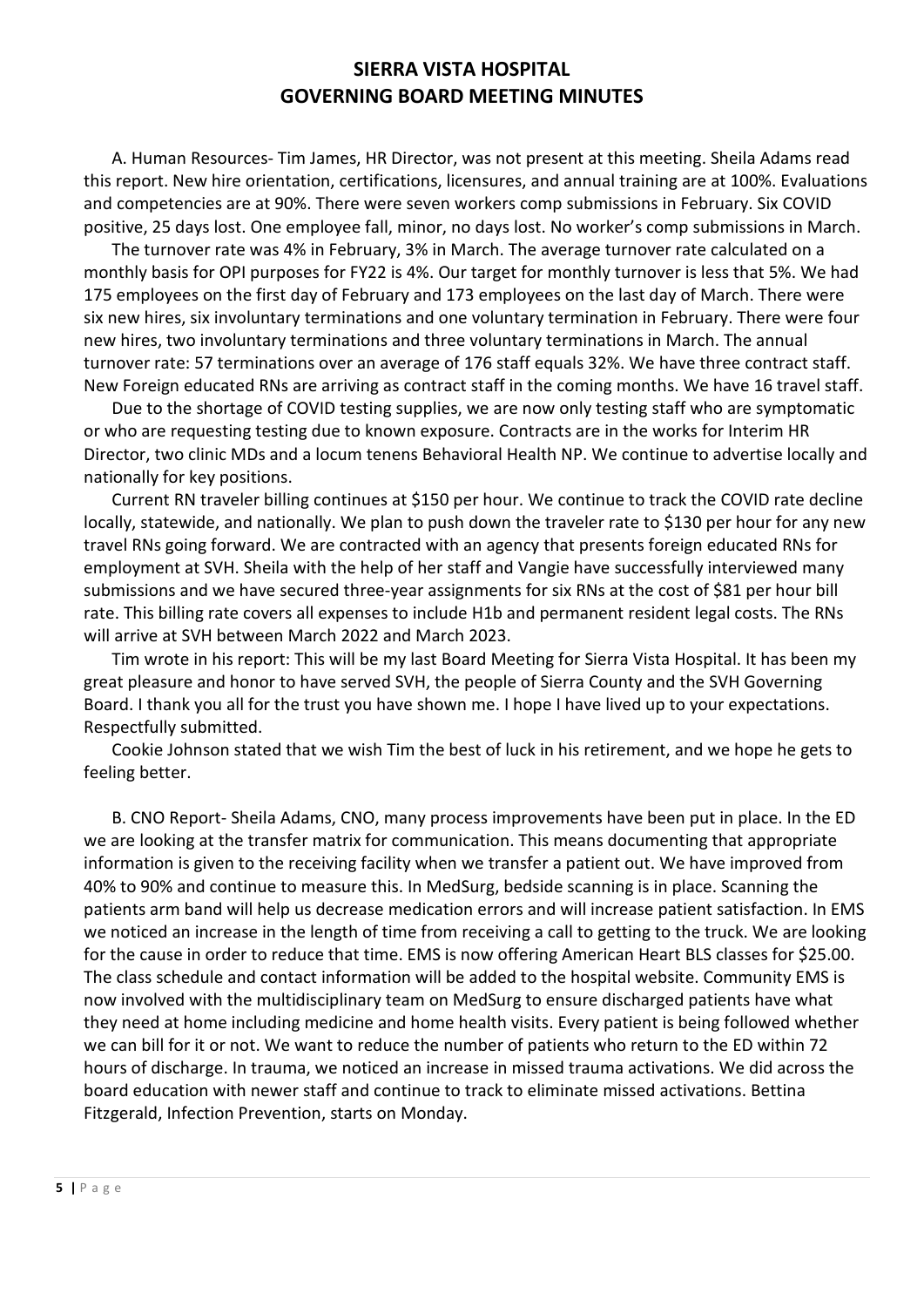A. Human Resources- Tim James, HR Director, was not present at this meeting. Sheila Adams read this report. New hire orientation, certifications, licensures, and annual training are at 100%. Evaluations and competencies are at 90%. There were seven workers comp submissions in February. Six COVID positive, 25 days lost. One employee fall, minor, no days lost. No worker's comp submissions in March.

The turnover rate was 4% in February, 3% in March. The average turnover rate calculated on a monthly basis for OPI purposes for FY22 is 4%. Our target for monthly turnover is less that 5%. We had 175 employees on the first day of February and 173 employees on the last day of March. There were six new hires, six involuntary terminations and one voluntary termination in February. There were four new hires, two involuntary terminations and three voluntary terminations in March. The annual turnover rate: 57 terminations over an average of 176 staff equals 32%. We have three contract staff. New Foreign educated RNs are arriving as contract staff in the coming months. We have 16 travel staff.

Due to the shortage of COVID testing supplies, we are now only testing staff who are symptomatic or who are requesting testing due to known exposure. Contracts are in the works for Interim HR Director, two clinic MDs and a locum tenens Behavioral Health NP. We continue to advertise locally and nationally for key positions.

Current RN traveler billing continues at \$150 per hour. We continue to track the COVID rate decline locally, statewide, and nationally. We plan to push down the traveler rate to \$130 per hour for any new travel RNs going forward. We are contracted with an agency that presents foreign educated RNs for employment at SVH. Sheila with the help of her staff and Vangie have successfully interviewed many submissions and we have secured three-year assignments for six RNs at the cost of \$81 per hour bill rate. This billing rate covers all expenses to include H1b and permanent resident legal costs. The RNs will arrive at SVH between March 2022 and March 2023.

Tim wrote in his report: This will be my last Board Meeting for Sierra Vista Hospital. It has been my great pleasure and honor to have served SVH, the people of Sierra County and the SVH Governing Board. I thank you all for the trust you have shown me. I hope I have lived up to your expectations. Respectfully submitted.

Cookie Johnson stated that we wish Tim the best of luck in his retirement, and we hope he gets to feeling better.

B. CNO Report- Sheila Adams, CNO, many process improvements have been put in place. In the ED we are looking at the transfer matrix for communication. This means documenting that appropriate information is given to the receiving facility when we transfer a patient out. We have improved from 40% to 90% and continue to measure this. In MedSurg, bedside scanning is in place. Scanning the patients arm band will help us decrease medication errors and will increase patient satisfaction. In EMS we noticed an increase in the length of time from receiving a call to getting to the truck. We are looking for the cause in order to reduce that time. EMS is now offering American Heart BLS classes for \$25.00. The class schedule and contact information will be added to the hospital website. Community EMS is now involved with the multidisciplinary team on MedSurg to ensure discharged patients have what they need at home including medicine and home health visits. Every patient is being followed whether we can bill for it or not. We want to reduce the number of patients who return to the ED within 72 hours of discharge. In trauma, we noticed an increase in missed trauma activations. We did across the board education with newer staff and continue to track to eliminate missed activations. Bettina Fitzgerald, Infection Prevention, starts on Monday.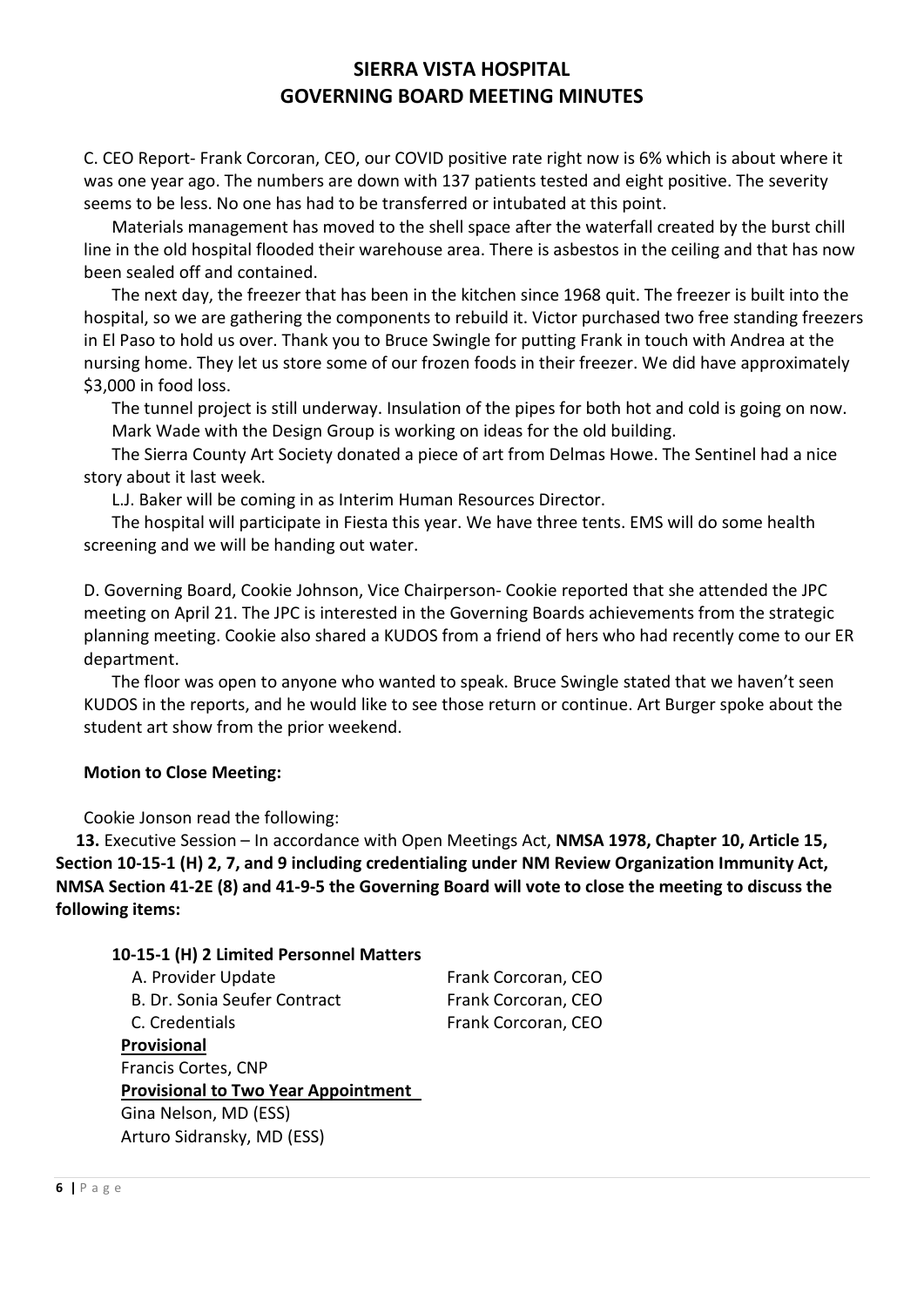C. CEO Report- Frank Corcoran, CEO, our COVID positive rate right now is 6% which is about where it was one year ago. The numbers are down with 137 patients tested and eight positive. The severity seems to be less. No one has had to be transferred or intubated at this point.

Materials management has moved to the shell space after the waterfall created by the burst chill line in the old hospital flooded their warehouse area. There is asbestos in the ceiling and that has now been sealed off and contained.

The next day, the freezer that has been in the kitchen since 1968 quit. The freezer is built into the hospital, so we are gathering the components to rebuild it. Victor purchased two free standing freezers in El Paso to hold us over. Thank you to Bruce Swingle for putting Frank in touch with Andrea at the nursing home. They let us store some of our frozen foods in their freezer. We did have approximately \$3,000 in food loss.

The tunnel project is still underway. Insulation of the pipes for both hot and cold is going on now. Mark Wade with the Design Group is working on ideas for the old building.

The Sierra County Art Society donated a piece of art from Delmas Howe. The Sentinel had a nice story about it last week.

L.J. Baker will be coming in as Interim Human Resources Director.

The hospital will participate in Fiesta this year. We have three tents. EMS will do some health screening and we will be handing out water.

D. Governing Board, Cookie Johnson, Vice Chairperson- Cookie reported that she attended the JPC meeting on April 21. The JPC is interested in the Governing Boards achievements from the strategic planning meeting. Cookie also shared a KUDOS from a friend of hers who had recently come to our ER department.

The floor was open to anyone who wanted to speak. Bruce Swingle stated that we haven't seen KUDOS in the reports, and he would like to see those return or continue. Art Burger spoke about the student art show from the prior weekend.

## **Motion to Close Meeting:**

Cookie Jonson read the following:

 **13.** Executive Session – In accordance with Open Meetings Act, **NMSA 1978, Chapter 10, Article 15, Section 10-15-1 (H) 2, 7, and 9 including credentialing under NM Review Organization Immunity Act, NMSA Section 41-2E (8) and 41-9-5 the Governing Board will vote to close the meeting to discuss the following items:** 

#### **10-15-1 (H) 2 Limited Personnel Matters**

| A. Provider Update                         | Frank Corcoran, CEO |
|--------------------------------------------|---------------------|
| B. Dr. Sonia Seufer Contract               | Frank Corcoran, CEO |
| C. Credentials                             | Frank Corcoran, CEO |
| Provisional                                |                     |
| Francis Cortes, CNP                        |                     |
| <b>Provisional to Two Year Appointment</b> |                     |
| Gina Nelson, MD (ESS)                      |                     |
| Arturo Sidransky, MD (ESS)                 |                     |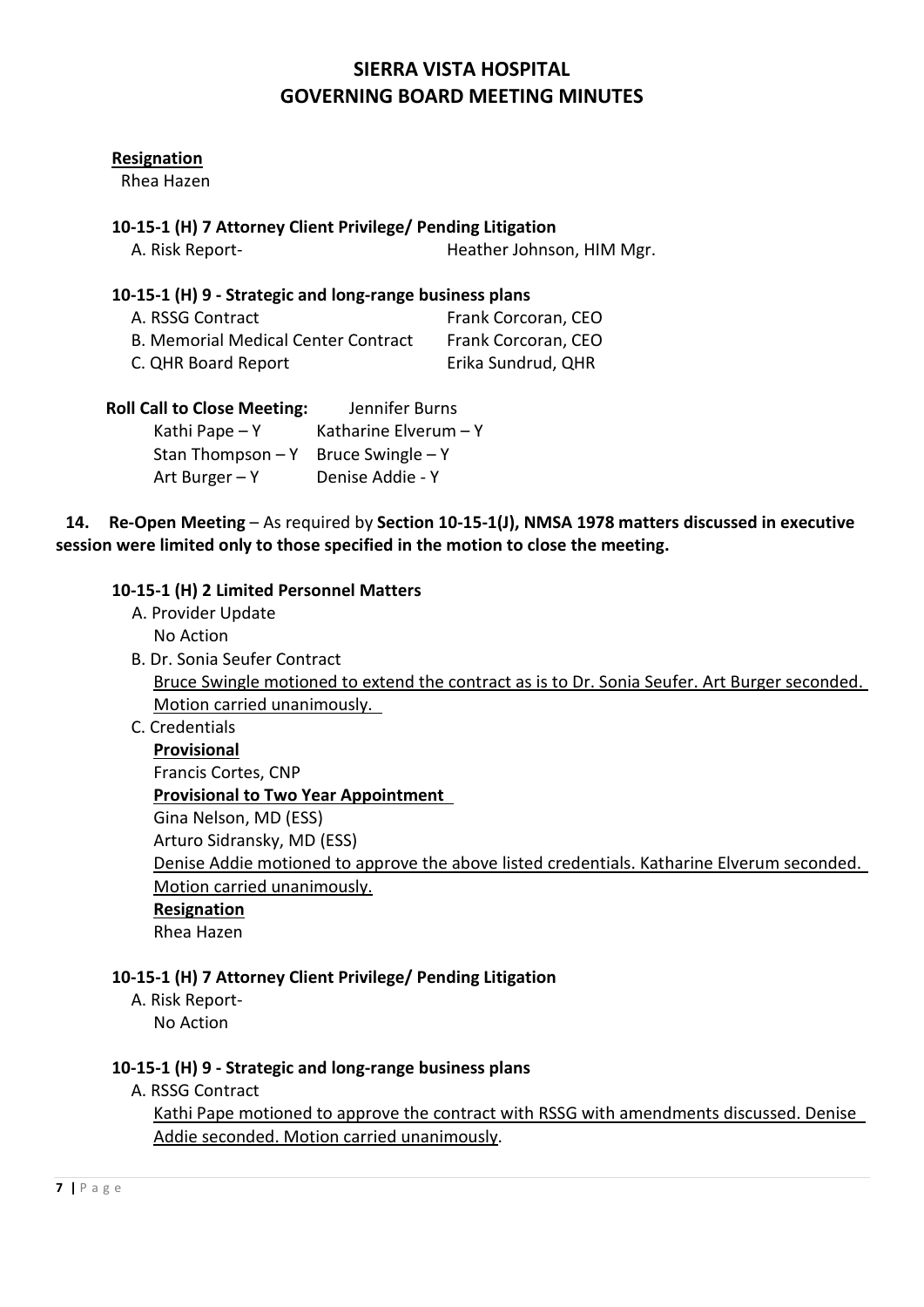#### **Resignation**

Rhea Hazen

#### **10-15-1 (H) 7 Attorney Client Privilege/ Pending Litigation**

A. Risk Report- **Heather Johnson, HIM Mgr.** 

#### **10-15-1 (H) 9 - Strategic and long-range business plans**

| A. RSSG Contract                           | Frank Corcoran, CEO |
|--------------------------------------------|---------------------|
| <b>B. Memorial Medical Center Contract</b> | Frank Corcoran, CEO |
| C. QHR Board Report                        | Erika Sundrud, QHR  |

 **Roll Call to Close Meeting:** Jennifer Burns

| Kathi Pape $- Y$                      | Katharine Elverum $- Y$ |
|---------------------------------------|-------------------------|
| Stan Thompson $-Y$ Bruce Swingle $-Y$ |                         |
| Art Burger $-Y$                       | Denise Addie - Y        |

**14. Re-Open Meeting** – As required by **Section 10-15-1(J), NMSA 1978 matters discussed in executive session were limited only to those specified in the motion to close the meeting.**

#### **10-15-1 (H) 2 Limited Personnel Matters**

A. Provider Update

No Action

- B. Dr. Sonia Seufer Contract Bruce Swingle motioned to extend the contract as is to Dr. Sonia Seufer. Art Burger seconded. Motion carried unanimously.
- C. Credentials

 **Provisional** Francis Cortes, CNP **Provisional to Two Year Appointment**  Gina Nelson, MD (ESS) Arturo Sidransky, MD (ESS) Denise Addie motioned to approve the above listed credentials. Katharine Elverum seconded. Motion carried unanimously. **Resignation** Rhea Hazen

## **10-15-1 (H) 7 Attorney Client Privilege/ Pending Litigation**

 A. Risk Report- No Action

#### **10-15-1 (H) 9 - Strategic and long-range business plans**

A. RSSG Contract

 Kathi Pape motioned to approve the contract with RSSG with amendments discussed. Denise Addie seconded. Motion carried unanimously.